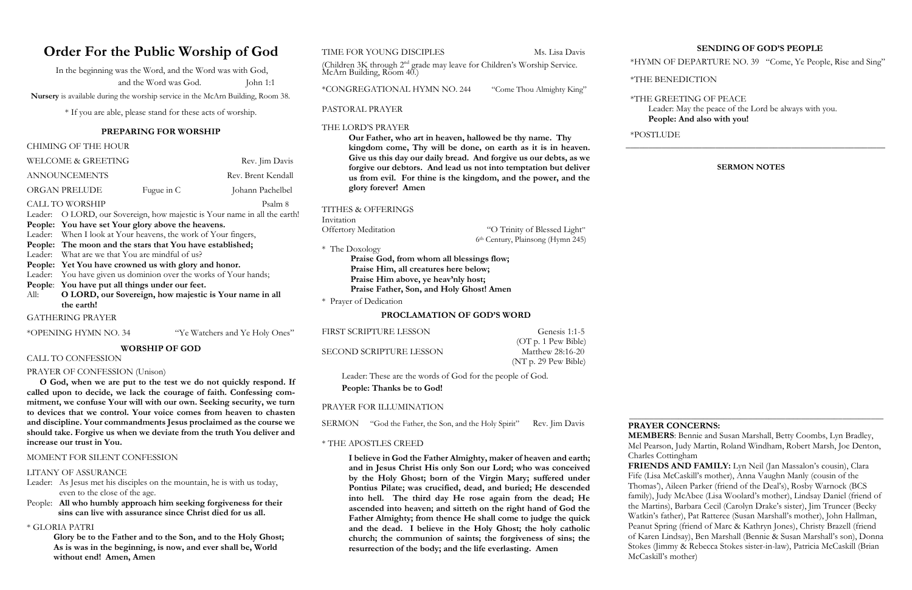# **Order For the Public Worship of God**

In the beginning was the Word, and the Word was with God, and the Word was God. John 1:1

 **Nursery** is available during the worship service in the McArn Building, Room 38.

\* If you are able, please stand for these acts of worship.

#### **PREPARING FOR WORSHIP**

#### CHIMING OF THE HOUR

|         | <b>WELCOME &amp; GREETING</b>                                              |                                                 | Rev. Jim Davis     |
|---------|----------------------------------------------------------------------------|-------------------------------------------------|--------------------|
|         | <b>ANNOUNCEMENTS</b>                                                       |                                                 | Rev. Brent Kendall |
|         | ORGAN PRELUDE                                                              | Fugue in C                                      | Johann Pachelbel   |
|         | <b>CALL TO WORSHIP</b>                                                     |                                                 | Psalm 8            |
|         | Leader: O LORD, our Sovereign, how majestic is Your name in all the earth! |                                                 |                    |
|         | People: You have set Your glory above the heavens.                         |                                                 |                    |
|         | Leader: When I look at Your heavens, the work of Your fingers,             |                                                 |                    |
|         | People: The moon and the stars that You have established;                  |                                                 |                    |
|         |                                                                            | Leader: What are we that You are mindful of us? |                    |
| People: | Yet You have crowned us with glory and honor.                              |                                                 |                    |
|         | Leader: You have given us dominion over the works of Your hands;           |                                                 |                    |
|         | People: You have put all things under our feet.                            |                                                 |                    |
| All:    | O LORD, our Sovereign, how majestic is Your name in all                    |                                                 |                    |
|         | the earth!                                                                 |                                                 |                    |
|         | <b>GATHERING PRAYER</b>                                                    |                                                 |                    |

\*OPENING HYMN NO. 34 "Ye Watchers and Ye Holy Ones"

#### **WORSHIP OF GOD**

#### CALL TO CONFESSION

#### PRAYER OF CONFESSION (Unison)

 **O God, when we are put to the test we do not quickly respond. If called upon to decide, we lack the courage of faith. Confessing commitment, we confuse Your will with our own. Seeking security, we turn to devices that we control. Your voice comes from heaven to chasten and discipline. Your commandments Jesus proclaimed as the course we should take. Forgive us when we deviate from the truth You deliver and increase our trust in You.** 

"O Trinity of Blessed Light" 6th Century, Plainsong (Hymn 245)

#### MOMENT FOR SILENT CONFESSION

#### LITANY OF ASSURANCE

- Leader: As Jesus met his disciples on the mountain, he is with us today, even to the close of the age.
- People: **All who humbly approach him seeking forgiveness for their sins can live with assurance since Christ died for us all.**

#### \* GLORIA PATRI

**Glory be to the Father and to the Son, and to the Holy Ghost; As is was in the beginning, is now, and ever shall be, World without end! Amen, Amen**

#### TIME FOR YOUNG DISCIPLES Ms. Lisa Davis

(Children 3K through 2<sup>nd</sup> grade may leave for Children's Worship Service. McArn Building, Room 40.)

\*CONGREGATIONAL HYMN NO. 244 "Come Thou Almighty King"

PASTORAL PRAYER

#### THE LORD'S PRAYER

**Our Father, who art in heaven, hallowed be thy name. Thy kingdom come, Thy will be done, on earth as it is in heaven. Give us this day our daily bread. And forgive us our debts, as we forgive our debtors. And lead us not into temptation but deliver us from evil. For thine is the kingdom, and the power, and the glory forever! Amen**

#### TITHES & OFFERINGS

Invitation<br>Offertory Meditation

\* The Doxology

 **Praise God, from whom all blessings flow; Praise Him, all creatures here below; Praise Him above, ye heav'nly host; Praise Father, Son, and Holy Ghost! Amen**

\* Prayer of Dedication

#### **PROCLAMATION OF GOD'S WORD**

FIRST SCRIPTURE LESSON Genesis 1:1-5

SECOND SCRIPTURE LESSON Matthew 28:16-20

 (OT p. 1 Pew Bible) (NT p. 29 Pew Bible)

Leader: These are the words of God for the people of God.

**People: Thanks be to God!**

#### PRAYER FOR ILLUMINATION

SERMON "God the Father, the Son, and the Holy Spirit" Rev. Jim Davis

#### \* THE APOSTLES CREED

**I believe in God the Father Almighty, maker of heaven and earth; and in Jesus Christ His only Son our Lord; who was conceived by the Holy Ghost; born of the Virgin Mary; suffered under Pontius Pilate; was crucified, dead, and buried; He descended into hell. The third day He rose again from the dead; He ascended into heaven; and sitteth on the right hand of God the Father Almighty; from thence He shall come to judge the quick and the dead. I believe in the Holy Ghost; the holy catholic church; the communion of saints; the forgiveness of sins; the resurrection of the body; and the life everlasting. Amen**

#### **SENDING OF GOD'S PEOPLE**

\*HYMN OF DEPARTURE NO. 39 "Come, Ye People, Rise and Sing"

\*THE BENEDICTION

 \*THE GREETING OF PEACE Leader: May the peace of the Lord be always with you.  **People: And also with you!**

\*POSTLUDE

\_\_\_**\_\_\_\_\_\_\_\_\_\_\_\_\_\_\_\_\_\_\_\_\_\_\_\_\_\_\_\_\_\_\_\_\_\_\_\_\_\_\_\_\_\_\_\_\_\_\_\_\_\_\_\_\_\_\_**

#### **SERMON NOTES**

 **\_\_\_\_\_\_\_\_\_\_\_\_\_\_\_\_\_\_\_\_\_\_\_\_\_\_\_\_\_\_\_\_\_\_\_\_\_\_\_\_\_\_\_\_\_\_\_\_\_\_\_\_\_\_\_\_\_\_\_\_\_\_**

#### **PRAYER CONCERNS:**

 **MEMBERS**: Bennie and Susan Marshall, Betty Coombs, Lyn Bradley, Mel Pearson, Judy Martin, Roland Windham, Robert Marsh, Joe Denton,

 Charles Cottingham McCaskill's mother)

 **FRIENDS AND FAMILY:** Lyn Neil (Jan Massalon's cousin), Clara Fife (Lisa McCaskill's mother), Anna Vaughn Manly (cousin of the Thomas'), Aileen Parker (friend of the Deal's), Rosby Warnock (BCS family), Judy McAbee (Lisa Woolard's mother), Lindsay Daniel (friend of the Martins), Barbara Cecil (Carolyn Drake's sister), Jim Truncer (Becky Watkin's father), Pat Ratteree (Susan Marshall's mother), John Hallman, Peanut Spring (friend of Marc & Kathryn Jones), Christy Brazell (friend of Karen Lindsay), Ben Marshall (Bennie & Susan Marshall's son), Donna Stokes (Jimmy & Rebecca Stokes sister-in-law), Patricia McCaskill (Brian